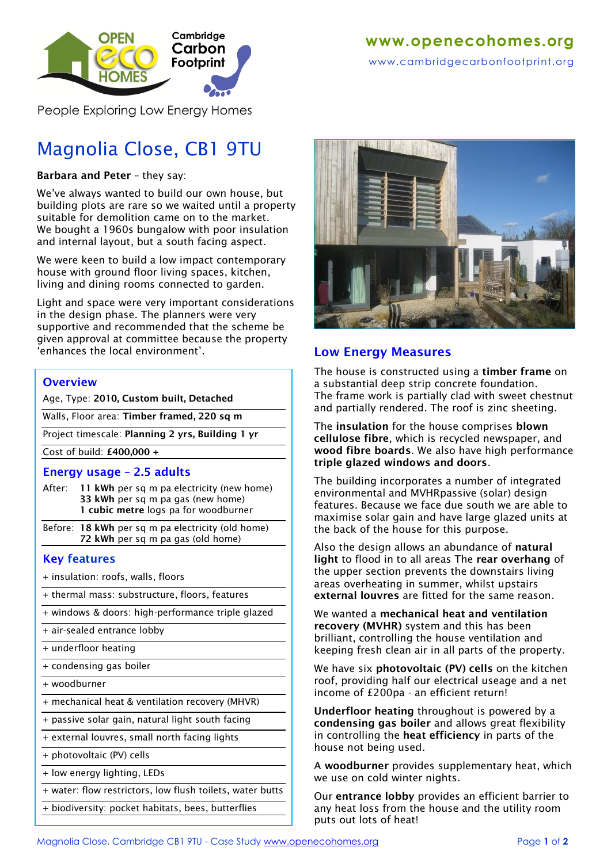

www.cambridgecarbonfootprint.org

People Exploring Low Energy Homes

# Magnolia Close, CB1 9TU

# **Barbara and Peter** – they say:

We've always wanted to build our own house, but building plots are rare so we waited until a property suitable for demolition came on to the market. We bought a 1960s bungalow with poor insulation and internal layout, but a south facing aspect.

We were keen to build a low impact contemporary house with ground floor living spaces, kitchen, living and dining rooms connected to garden.

Light and space were very important considerations in the design phase. The planners were very supportive and recommended that the scheme be given approval at committee because the property 'enhances the local environment'. **Low Energy Measures**

# **Overview**

Age, Type: **2010, Custom built, Detached**

Walls, Floor area: **Timber framed, 220 sq m**

Project timescale: **Planning 2 yrs, Building 1 yr**

Cost of build: **£400,000 +**

## **Energy usage – 2.5 adults**

After: **11 kWh** per sq m pa electricity (new home) **33 kWh** per sq m pa gas (new home) **1 cubic metre** logs pa for woodburner

Before: **18 kWh** per sq m pa electricity (old home)  **72 kWh** per sq m pa gas (old home)

# **Key features**

+ insulation: roofs, walls, floors

+ thermal mass: substructure, floors, features

+ windows & doors: high-performance triple glazed

+ air-sealed entrance lobby

- + underfloor heating
- + condensing gas boiler
- + woodburner
- + mechanical heat & ventilation recovery (MHVR)
- + passive solar gain, natural light south facing
- + external louvres, small north facing lights
- + photovoltaic (PV) cells
- + low energy lighting, LEDs

+ water: flow restrictors, low flush toilets, water butts

+ biodiversity: pocket habitats, bees, butterflies



The house is constructed using a **timber frame** on a substantial deep strip concrete foundation. The frame work is partially clad with sweet chestnut and partially rendered. The roof is zinc sheeting.

The **insulation** for the house comprises **blown cellulose fibre**, which is recycled newspaper, and **wood fibre boards**. We also have high performance **triple glazed windows and doors**.

The building incorporates a number of integrated environmental and MVHRpassive (solar) design features. Because we face due south we are able to maximise solar gain and have large glazed units at the back of the house for this purpose.

Also the design allows an abundance of **natural light** to flood in to all areas The **rear overhang** of the upper section prevents the downstairs living areas overheating in summer, whilst upstairs **external louvres** are fitted for the same reason.

We wanted a **mechanical heat and ventilation recovery (MVHR)** system and this has been brilliant, controlling the house ventilation and keeping fresh clean air in all parts of the property.

We have six **photovoltaic (PV) cells** on the kitchen roof, providing half our electrical useage and a net income of £200pa - an efficient return!

**Underfloor heating** throughout is powered by a **condensing gas boiler** and allows great flexibility in controlling the **heat efficiency** in parts of the house not being used.

A **woodburner** provides supplementary heat, which we use on cold winter nights.

Our **entrance lobby** provides an efficient barrier to any heat loss from the house and the utility room puts out lots of heat!